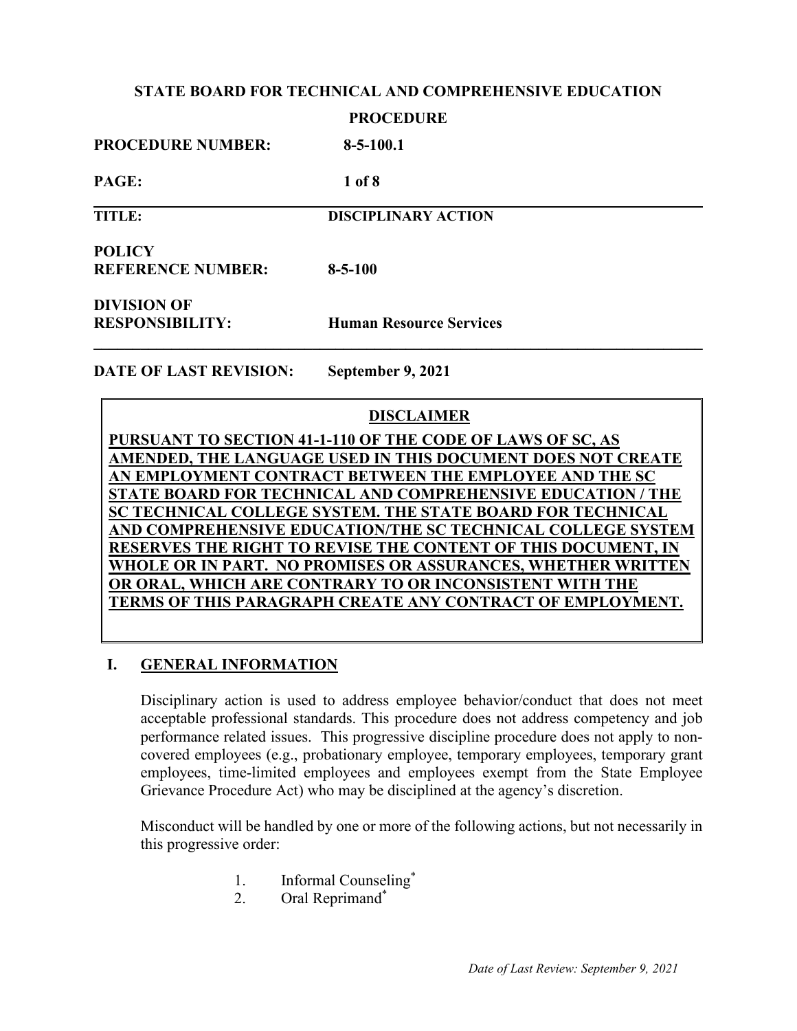#### **STATE BOARD FOR TECHNICAL AND COMPREHENSIVE EDUCATION**

#### **PROCEDURE**

| <b>PROCEDURE NUMBER:</b>                     | $8 - 5 - 100.1$                |
|----------------------------------------------|--------------------------------|
| PAGE:                                        | 1 of 8                         |
| <b>TITLE:</b>                                | <b>DISCIPLINARY ACTION</b>     |
| <b>POLICY</b><br><b>REFERENCE NUMBER:</b>    | $8 - 5 - 100$                  |
| <b>DIVISION OF</b><br><b>RESPONSIBILITY:</b> | <b>Human Resource Services</b> |

**DATE OF LAST REVISION: September 9, 2021**

## **DISCLAIMER**

**PURSUANT TO SECTION 41-1-110 OF THE CODE OF LAWS OF SC, AS AMENDED, THE LANGUAGE USED IN THIS DOCUMENT DOES NOT CREATE AN EMPLOYMENT CONTRACT BETWEEN THE EMPLOYEE AND THE SC STATE BOARD FOR TECHNICAL AND COMPREHENSIVE EDUCATION / THE SC TECHNICAL COLLEGE SYSTEM. THE STATE BOARD FOR TECHNICAL AND COMPREHENSIVE EDUCATION/THE SC TECHNICAL COLLEGE SYSTEM RESERVES THE RIGHT TO REVISE THE CONTENT OF THIS DOCUMENT, IN WHOLE OR IN PART. NO PROMISES OR ASSURANCES, WHETHER WRITTEN OR ORAL, WHICH ARE CONTRARY TO OR INCONSISTENT WITH THE TERMS OF THIS PARAGRAPH CREATE ANY CONTRACT OF EMPLOYMENT.**

#### **I. GENERAL INFORMATION**

Disciplinary action is used to address employee behavior/conduct that does not meet acceptable professional standards. This procedure does not address competency and job performance related issues. This progressive discipline procedure does not apply to noncovered employees (e.g., probationary employee, temporary employees, temporary grant employees, time-limited employees and employees exempt from the State Employee Grievance Procedure Act) who may be disciplined at the agency's discretion.

Misconduct will be handled by one or more of the following actions, but not necessarily in this progressive order:

- 1. Informal Counseling\*
- 2. Oral Reprimand<sup>\*</sup>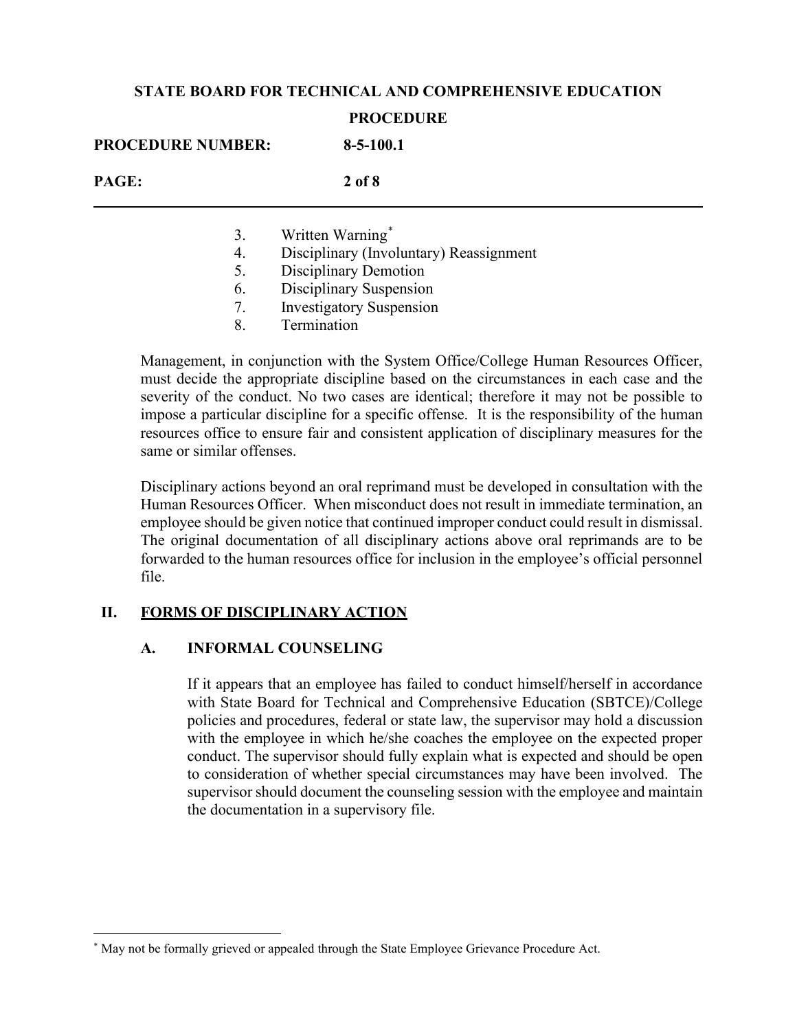## **STATE BOARD FOR TECHNICAL AND COMPREHENSIVE EDUCATION**

#### **PROCEDURE**

| <b>PROCEDURE NUMBER:</b> | $8 - 5 - 100.1$                         |
|--------------------------|-----------------------------------------|
| PAGE:                    | $2$ of $8$                              |
| 3.                       | Written Warning*                        |
| 4.                       | Disciplinary (Involuntary) Reassignment |
| 5.                       | <b>Disciplinary Demotion</b>            |
| 6.                       | Disciplinary Suspension                 |

- 7. Investigatory Suspension
- 8. Termination

Management, in conjunction with the System Office/College Human Resources Officer, must decide the appropriate discipline based on the circumstances in each case and the severity of the conduct. No two cases are identical; therefore it may not be possible to impose a particular discipline for a specific offense. It is the responsibility of the human resources office to ensure fair and consistent application of disciplinary measures for the same or similar offenses.

Disciplinary actions beyond an oral reprimand must be developed in consultation with the Human Resources Officer. When misconduct does not result in immediate termination, an employee should be given notice that continued improper conduct could result in dismissal. The original documentation of all disciplinary actions above oral reprimands are to be forwarded to the human resources office for inclusion in the employee's official personnel file.

## **II. FORMS OF DISCIPLINARY ACTION**

## **A. INFORMAL COUNSELING**

If it appears that an employee has failed to conduct himself/herself in accordance with State Board for Technical and Comprehensive Education (SBTCE)/College policies and procedures, federal or state law, the supervisor may hold a discussion with the employee in which he/she coaches the employee on the expected proper conduct. The supervisor should fully explain what is expected and should be open to consideration of whether special circumstances may have been involved. The supervisor should document the counseling session with the employee and maintain the documentation in a supervisory file.

<span id="page-1-0"></span><sup>\*</sup> May not be formally grieved or appealed through the State Employee Grievance Procedure Act.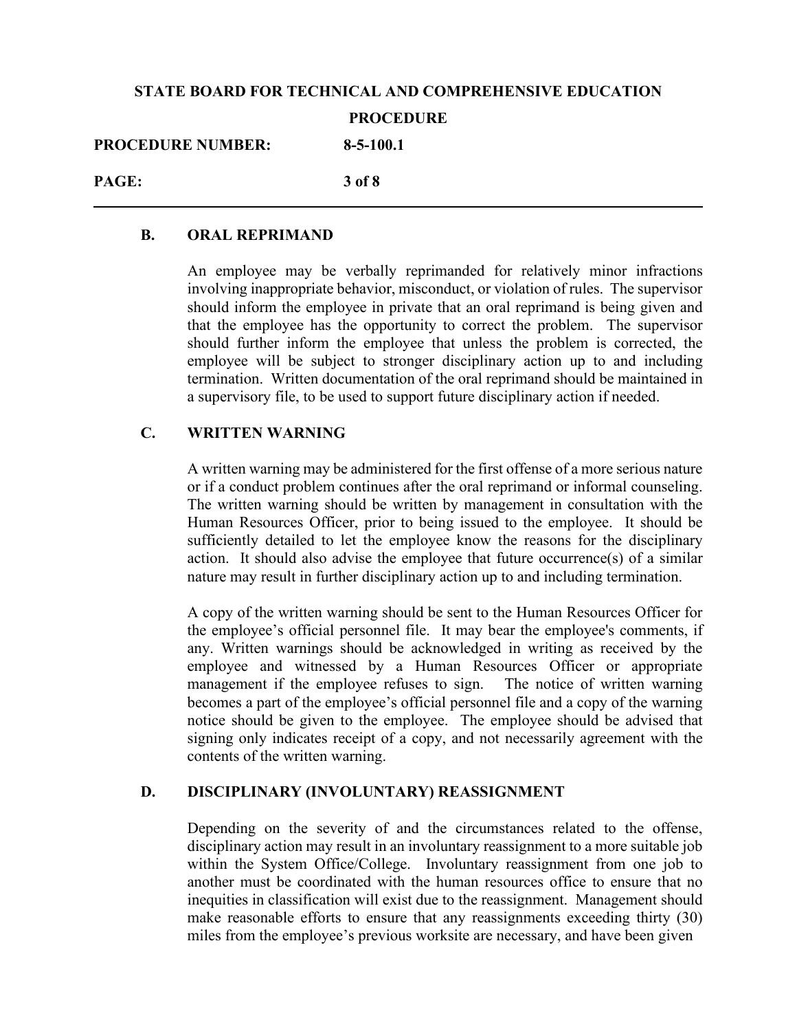# **STATE BOARD FOR TECHNICAL AND COMPREHENSIVE EDUCATION PROCEDURE PROCEDURE NUMBER: 8-5-100.1 PAGE: 3 of 8**

#### **B. ORAL REPRIMAND**

An employee may be verbally reprimanded for relatively minor infractions involving inappropriate behavior, misconduct, or violation of rules. The supervisor should inform the employee in private that an oral reprimand is being given and that the employee has the opportunity to correct the problem. The supervisor should further inform the employee that unless the problem is corrected, the employee will be subject to stronger disciplinary action up to and including termination. Written documentation of the oral reprimand should be maintained in a supervisory file, to be used to support future disciplinary action if needed.

## **C. WRITTEN WARNING**

A written warning may be administered for the first offense of a more serious nature or if a conduct problem continues after the oral reprimand or informal counseling. The written warning should be written by management in consultation with the Human Resources Officer, prior to being issued to the employee. It should be sufficiently detailed to let the employee know the reasons for the disciplinary action. It should also advise the employee that future occurrence(s) of a similar nature may result in further disciplinary action up to and including termination.

A copy of the written warning should be sent to the Human Resources Officer for the employee's official personnel file. It may bear the employee's comments, if any. Written warnings should be acknowledged in writing as received by the employee and witnessed by a Human Resources Officer or appropriate management if the employee refuses to sign. The notice of written warning becomes a part of the employee's official personnel file and a copy of the warning notice should be given to the employee. The employee should be advised that signing only indicates receipt of a copy, and not necessarily agreement with the contents of the written warning.

## **D. DISCIPLINARY (INVOLUNTARY) REASSIGNMENT**

Depending on the severity of and the circumstances related to the offense, disciplinary action may result in an involuntary reassignment to a more suitable job within the System Office/College. Involuntary reassignment from one job to another must be coordinated with the human resources office to ensure that no inequities in classification will exist due to the reassignment. Management should make reasonable efforts to ensure that any reassignments exceeding thirty (30) miles from the employee's previous worksite are necessary, and have been given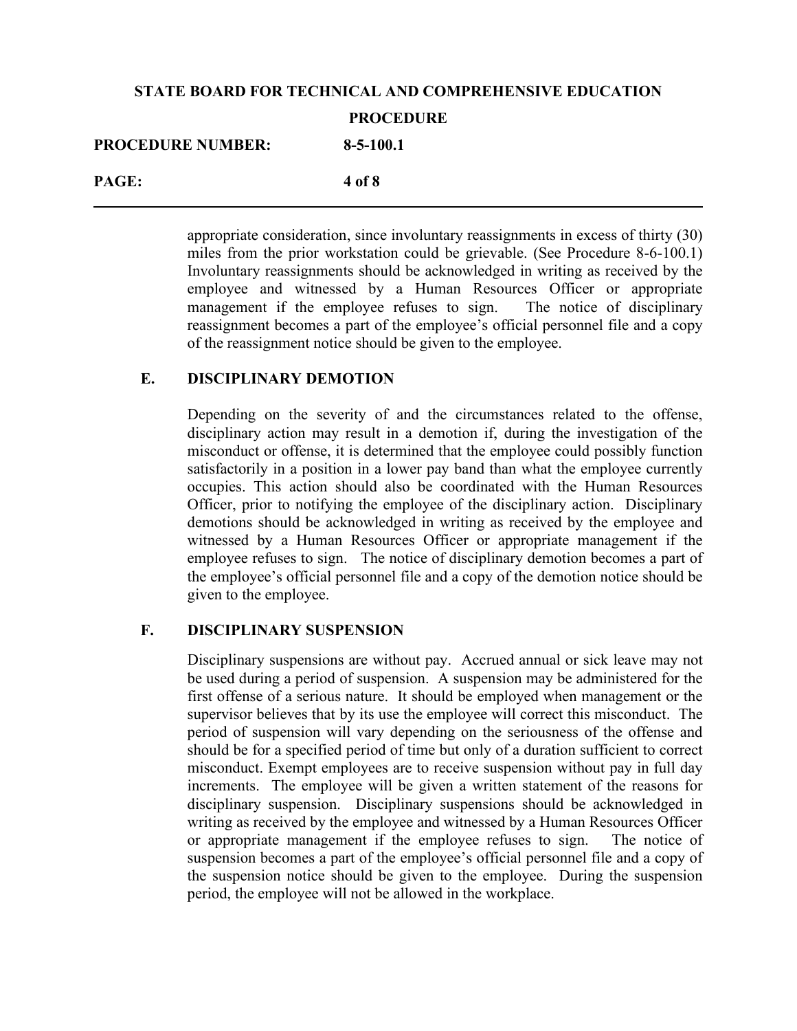## **STATE BOARD FOR TECHNICAL AND COMPREHENSIVE EDUCATION PROCEDURE PROCEDURE NUMBER: 8-5-100.1 PAGE: 4 of 8**

appropriate consideration, since involuntary reassignments in excess of thirty (30) miles from the prior workstation could be grievable. (See Procedure 8-6-100.1) Involuntary reassignments should be acknowledged in writing as received by the employee and witnessed by a Human Resources Officer or appropriate management if the employee refuses to sign. The notice of disciplinary reassignment becomes a part of the employee's official personnel file and a copy of the reassignment notice should be given to the employee.

## **E. DISCIPLINARY DEMOTION**

Depending on the severity of and the circumstances related to the offense, disciplinary action may result in a demotion if, during the investigation of the misconduct or offense, it is determined that the employee could possibly function satisfactorily in a position in a lower pay band than what the employee currently occupies. This action should also be coordinated with the Human Resources Officer, prior to notifying the employee of the disciplinary action. Disciplinary demotions should be acknowledged in writing as received by the employee and witnessed by a Human Resources Officer or appropriate management if the employee refuses to sign. The notice of disciplinary demotion becomes a part of the employee's official personnel file and a copy of the demotion notice should be given to the employee.

## **F. DISCIPLINARY SUSPENSION**

Disciplinary suspensions are without pay. Accrued annual or sick leave may not be used during a period of suspension. A suspension may be administered for the first offense of a serious nature. It should be employed when management or the supervisor believes that by its use the employee will correct this misconduct. The period of suspension will vary depending on the seriousness of the offense and should be for a specified period of time but only of a duration sufficient to correct misconduct. Exempt employees are to receive suspension without pay in full day increments. The employee will be given a written statement of the reasons for disciplinary suspension. Disciplinary suspensions should be acknowledged in writing as received by the employee and witnessed by a Human Resources Officer or appropriate management if the employee refuses to sign. The notice of suspension becomes a part of the employee's official personnel file and a copy of the suspension notice should be given to the employee. During the suspension period, the employee will not be allowed in the workplace.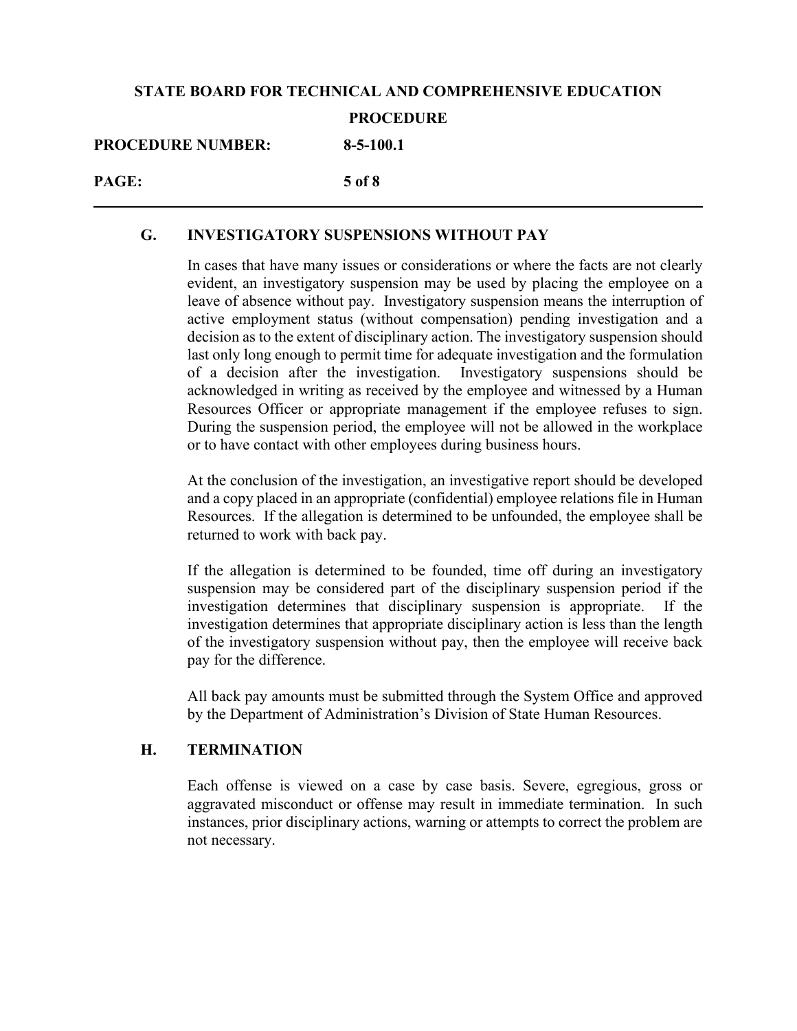## **STATE BOARD FOR TECHNICAL AND COMPREHENSIVE EDUCATION PROCEDURE PROCEDURE NUMBER: 8-5-100.1 PAGE: 5 of 8**

#### **G. INVESTIGATORY SUSPENSIONS WITHOUT PAY**

In cases that have many issues or considerations or where the facts are not clearly evident, an investigatory suspension may be used by placing the employee on a leave of absence without pay. Investigatory suspension means the interruption of active employment status (without compensation) pending investigation and a decision as to the extent of disciplinary action. The investigatory suspension should last only long enough to permit time for adequate investigation and the formulation of a decision after the investigation. Investigatory suspensions should be acknowledged in writing as received by the employee and witnessed by a Human Resources Officer or appropriate management if the employee refuses to sign. During the suspension period, the employee will not be allowed in the workplace or to have contact with other employees during business hours.

At the conclusion of the investigation, an investigative report should be developed and a copy placed in an appropriate (confidential) employee relations file in Human Resources. If the allegation is determined to be unfounded, the employee shall be returned to work with back pay.

If the allegation is determined to be founded, time off during an investigatory suspension may be considered part of the disciplinary suspension period if the investigation determines that disciplinary suspension is appropriate. If the investigation determines that appropriate disciplinary action is less than the length of the investigatory suspension without pay, then the employee will receive back pay for the difference.

All back pay amounts must be submitted through the System Office and approved by the Department of Administration's Division of State Human Resources.

#### **H. TERMINATION**

Each offense is viewed on a case by case basis. Severe, egregious, gross or aggravated misconduct or offense may result in immediate termination. In such instances, prior disciplinary actions, warning or attempts to correct the problem are not necessary.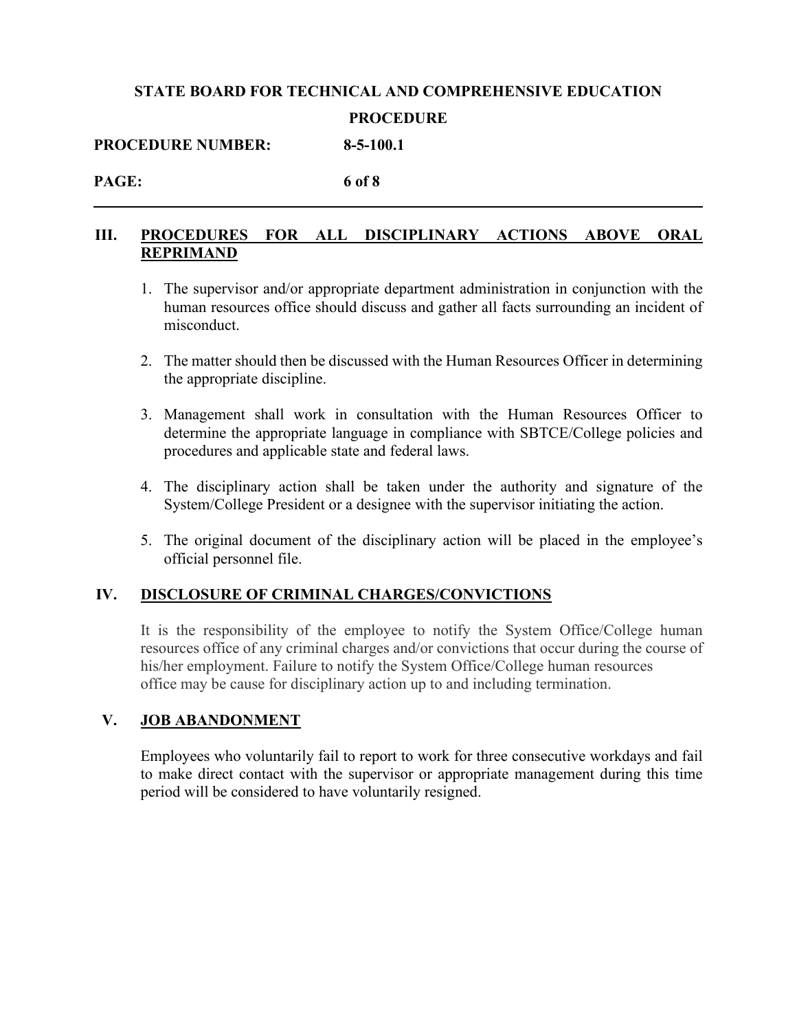# **STATE BOARD FOR TECHNICAL AND COMPREHENSIVE EDUCATION PROCEDURE**

**PROCEDURE NUMBER: 8-5-100.1**

#### **PAGE: 6 of 8**

## **III. PROCEDURES FOR ALL DISCIPLINARY ACTIONS ABOVE ORAL REPRIMAND**

- 1. The supervisor and/or appropriate department administration in conjunction with the human resources office should discuss and gather all facts surrounding an incident of misconduct.
- 2. The matter should then be discussed with the Human Resources Officer in determining the appropriate discipline.
- 3. Management shall work in consultation with the Human Resources Officer to determine the appropriate language in compliance with SBTCE/College policies and procedures and applicable state and federal laws.
- 4. The disciplinary action shall be taken under the authority and signature of the System/College President or a designee with the supervisor initiating the action.
- 5. The original document of the disciplinary action will be placed in the employee's official personnel file.

## **IV. DISCLOSURE OF CRIMINAL CHARGES/CONVICTIONS**

It is the responsibility of the employee to notify the System Office/College human resources office of any criminal charges and/or convictions that occur during the course of his/her employment. Failure to notify the System Office/College human resources office may be cause for disciplinary action up to and including termination.

## **V. JOB ABANDONMENT**

Employees who voluntarily fail to report to work for three consecutive workdays and fail to make direct contact with the supervisor or appropriate management during this time period will be considered to have voluntarily resigned.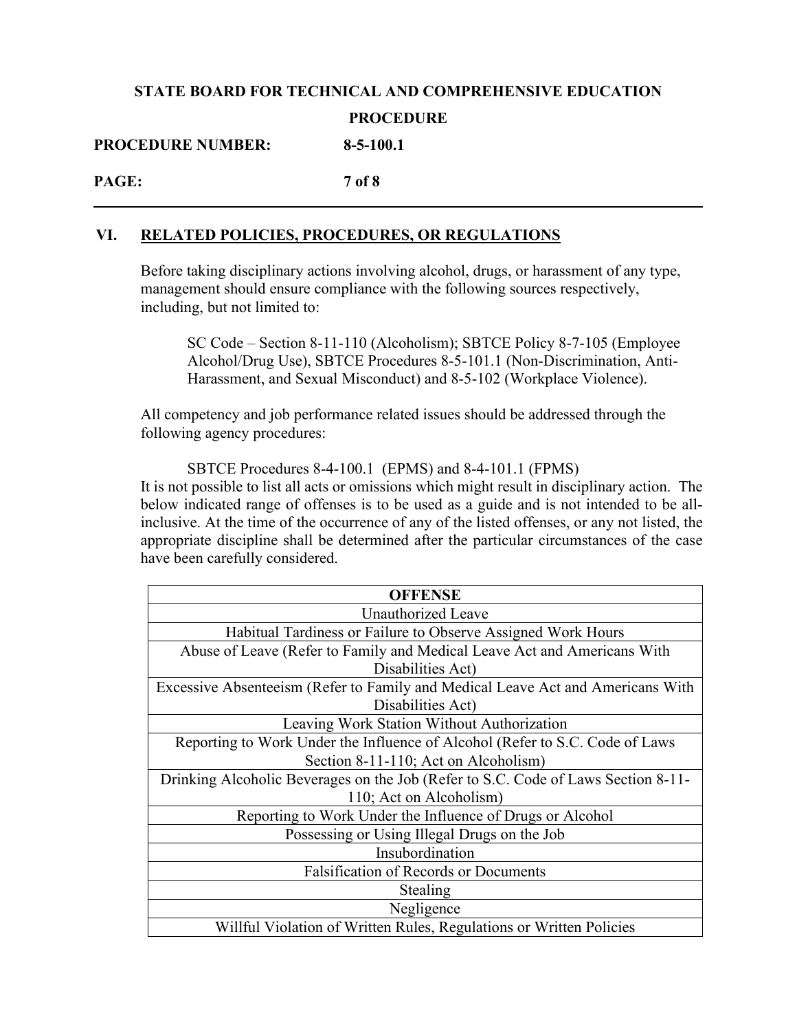## **STATE BOARD FOR TECHNICAL AND COMPREHENSIVE EDUCATION PROCEDURE PROCEDURE NUMBER: 8-5-100.1**

**PAGE: 7 of 8**

#### **VI. RELATED POLICIES, PROCEDURES, OR REGULATIONS**

Before taking disciplinary actions involving alcohol, drugs, or harassment of any type, management should ensure compliance with the following sources respectively, including, but not limited to:

SC Code – Section 8-11-110 (Alcoholism); SBTCE Policy 8-7-105 (Employee Alcohol/Drug Use), SBTCE Procedures 8-5-101.1 (Non-Discrimination, Anti-Harassment, and Sexual Misconduct) and 8-5-102 (Workplace Violence).

All competency and job performance related issues should be addressed through the following agency procedures:

SBTCE Procedures 8-4-100.1 (EPMS) and 8-4-101.1 (FPMS) It is not possible to list all acts or omissions which might result in disciplinary action. The below indicated range of offenses is to be used as a guide and is not intended to be allinclusive. At the time of the occurrence of any of the listed offenses, or any not listed, the appropriate discipline shall be determined after the particular circumstances of the case have been carefully considered.

| <b>OFFENSE</b>                                                                    |  |
|-----------------------------------------------------------------------------------|--|
| Unauthorized Leave                                                                |  |
| Habitual Tardiness or Failure to Observe Assigned Work Hours                      |  |
| Abuse of Leave (Refer to Family and Medical Leave Act and Americans With          |  |
| Disabilities Act)                                                                 |  |
| Excessive Absenteeism (Refer to Family and Medical Leave Act and Americans With   |  |
| Disabilities Act)                                                                 |  |
| Leaving Work Station Without Authorization                                        |  |
| Reporting to Work Under the Influence of Alcohol (Refer to S.C. Code of Laws      |  |
| Section 8-11-110; Act on Alcoholism)                                              |  |
| Drinking Alcoholic Beverages on the Job (Refer to S.C. Code of Laws Section 8-11- |  |
| 110; Act on Alcoholism)                                                           |  |
| Reporting to Work Under the Influence of Drugs or Alcohol                         |  |
| Possessing or Using Illegal Drugs on the Job                                      |  |
| Insubordination                                                                   |  |
| <b>Falsification of Records or Documents</b>                                      |  |
| Stealing                                                                          |  |
| Negligence                                                                        |  |
| Willful Violation of Written Rules, Regulations or Written Policies               |  |